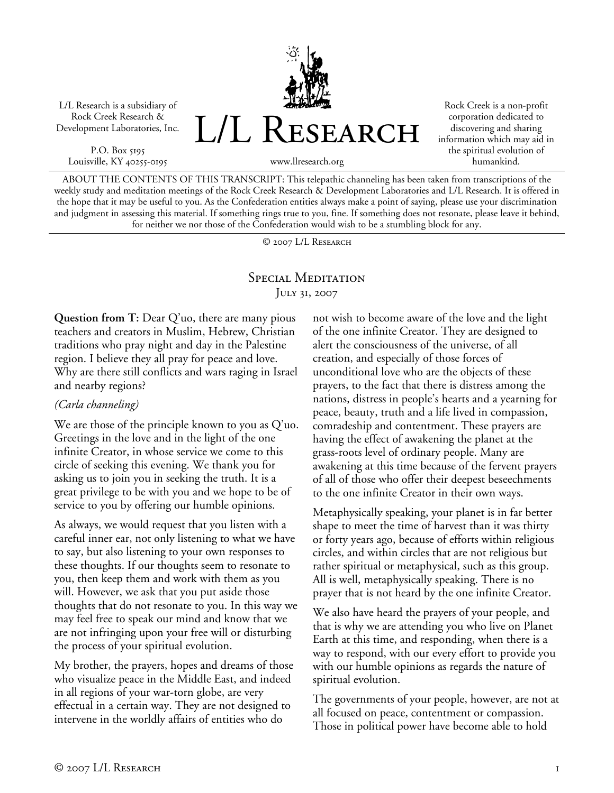L/L Research is a subsidiary of Rock Creek Research & Development Laboratories, Inc.

P.O. Box 5195 Louisville, KY 40255-0195 L/L RESEARCH

Rock Creek is a non-profit corporation dedicated to discovering and sharing information which may aid in the spiritual evolution of humankind.

www.llresearch.org

ABOUT THE CONTENTS OF THIS TRANSCRIPT: This telepathic channeling has been taken from transcriptions of the weekly study and meditation meetings of the Rock Creek Research & Development Laboratories and L/L Research. It is offered in the hope that it may be useful to you. As the Confederation entities always make a point of saying, please use your discrimination and judgment in assessing this material. If something rings true to you, fine. If something does not resonate, please leave it behind, for neither we nor those of the Confederation would wish to be a stumbling block for any.

© 2007 L/L Research

## Special Meditation July 31, 2007

**Question from T:** Dear Q'uo, there are many pious teachers and creators in Muslim, Hebrew, Christian traditions who pray night and day in the Palestine region. I believe they all pray for peace and love. Why are there still conflicts and wars raging in Israel and nearby regions?

## *(Carla channeling)*

We are those of the principle known to you as Q'uo. Greetings in the love and in the light of the one infinite Creator, in whose service we come to this circle of seeking this evening. We thank you for asking us to join you in seeking the truth. It is a great privilege to be with you and we hope to be of service to you by offering our humble opinions.

As always, we would request that you listen with a careful inner ear, not only listening to what we have to say, but also listening to your own responses to these thoughts. If our thoughts seem to resonate to you, then keep them and work with them as you will. However, we ask that you put aside those thoughts that do not resonate to you. In this way we may feel free to speak our mind and know that we are not infringing upon your free will or disturbing the process of your spiritual evolution.

My brother, the prayers, hopes and dreams of those who visualize peace in the Middle East, and indeed in all regions of your war-torn globe, are very effectual in a certain way. They are not designed to intervene in the worldly affairs of entities who do

not wish to become aware of the love and the light of the one infinite Creator. They are designed to alert the consciousness of the universe, of all creation, and especially of those forces of unconditional love who are the objects of these prayers, to the fact that there is distress among the nations, distress in people's hearts and a yearning for peace, beauty, truth and a life lived in compassion, comradeship and contentment. These prayers are having the effect of awakening the planet at the grass-roots level of ordinary people. Many are awakening at this time because of the fervent prayers of all of those who offer their deepest beseechments to the one infinite Creator in their own ways.

Metaphysically speaking, your planet is in far better shape to meet the time of harvest than it was thirty or forty years ago, because of efforts within religious circles, and within circles that are not religious but rather spiritual or metaphysical, such as this group. All is well, metaphysically speaking. There is no prayer that is not heard by the one infinite Creator.

We also have heard the prayers of your people, and that is why we are attending you who live on Planet Earth at this time, and responding, when there is a way to respond, with our every effort to provide you with our humble opinions as regards the nature of spiritual evolution.

The governments of your people, however, are not at all focused on peace, contentment or compassion. Those in political power have become able to hold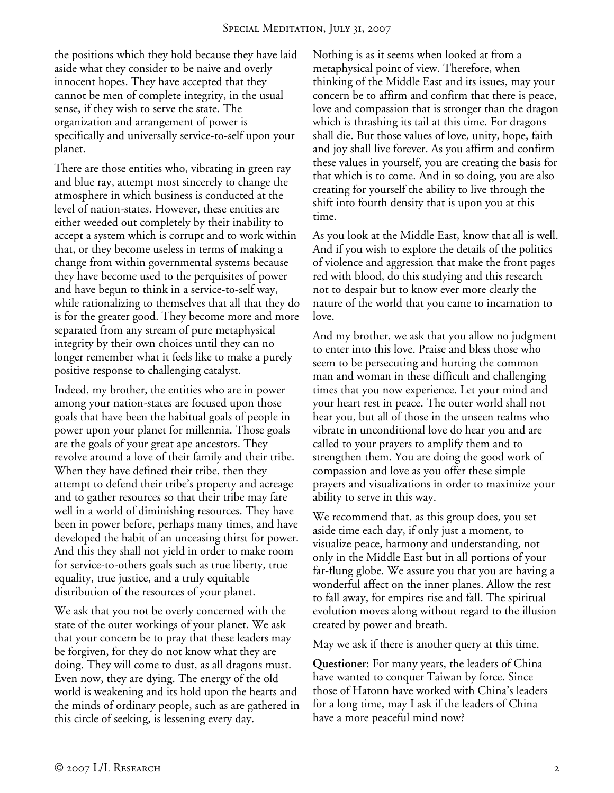the positions which they hold because they have laid aside what they consider to be naive and overly innocent hopes. They have accepted that they cannot be men of complete integrity, in the usual sense, if they wish to serve the state. The organization and arrangement of power is specifically and universally service-to-self upon your planet.

There are those entities who, vibrating in green ray and blue ray, attempt most sincerely to change the atmosphere in which business is conducted at the level of nation-states. However, these entities are either weeded out completely by their inability to accept a system which is corrupt and to work within that, or they become useless in terms of making a change from within governmental systems because they have become used to the perquisites of power and have begun to think in a service-to-self way, while rationalizing to themselves that all that they do is for the greater good. They become more and more separated from any stream of pure metaphysical integrity by their own choices until they can no longer remember what it feels like to make a purely positive response to challenging catalyst.

Indeed, my brother, the entities who are in power among your nation-states are focused upon those goals that have been the habitual goals of people in power upon your planet for millennia. Those goals are the goals of your great ape ancestors. They revolve around a love of their family and their tribe. When they have defined their tribe, then they attempt to defend their tribe's property and acreage and to gather resources so that their tribe may fare well in a world of diminishing resources. They have been in power before, perhaps many times, and have developed the habit of an unceasing thirst for power. And this they shall not yield in order to make room for service-to-others goals such as true liberty, true equality, true justice, and a truly equitable distribution of the resources of your planet.

We ask that you not be overly concerned with the state of the outer workings of your planet. We ask that your concern be to pray that these leaders may be forgiven, for they do not know what they are doing. They will come to dust, as all dragons must. Even now, they are dying. The energy of the old world is weakening and its hold upon the hearts and the minds of ordinary people, such as are gathered in this circle of seeking, is lessening every day.

Nothing is as it seems when looked at from a metaphysical point of view. Therefore, when thinking of the Middle East and its issues, may your concern be to affirm and confirm that there is peace, love and compassion that is stronger than the dragon which is thrashing its tail at this time. For dragons shall die. But those values of love, unity, hope, faith and joy shall live forever. As you affirm and confirm these values in yourself, you are creating the basis for that which is to come. And in so doing, you are also creating for yourself the ability to live through the shift into fourth density that is upon you at this time.

As you look at the Middle East, know that all is well. And if you wish to explore the details of the politics of violence and aggression that make the front pages red with blood, do this studying and this research not to despair but to know ever more clearly the nature of the world that you came to incarnation to love.

And my brother, we ask that you allow no judgment to enter into this love. Praise and bless those who seem to be persecuting and hurting the common man and woman in these difficult and challenging times that you now experience. Let your mind and your heart rest in peace. The outer world shall not hear you, but all of those in the unseen realms who vibrate in unconditional love do hear you and are called to your prayers to amplify them and to strengthen them. You are doing the good work of compassion and love as you offer these simple prayers and visualizations in order to maximize your ability to serve in this way.

We recommend that, as this group does, you set aside time each day, if only just a moment, to visualize peace, harmony and understanding, not only in the Middle East but in all portions of your far-flung globe. We assure you that you are having a wonderful affect on the inner planes. Allow the rest to fall away, for empires rise and fall. The spiritual evolution moves along without regard to the illusion created by power and breath.

May we ask if there is another query at this time.

**Questioner:** For many years, the leaders of China have wanted to conquer Taiwan by force. Since those of Hatonn have worked with China's leaders for a long time, may I ask if the leaders of China have a more peaceful mind now?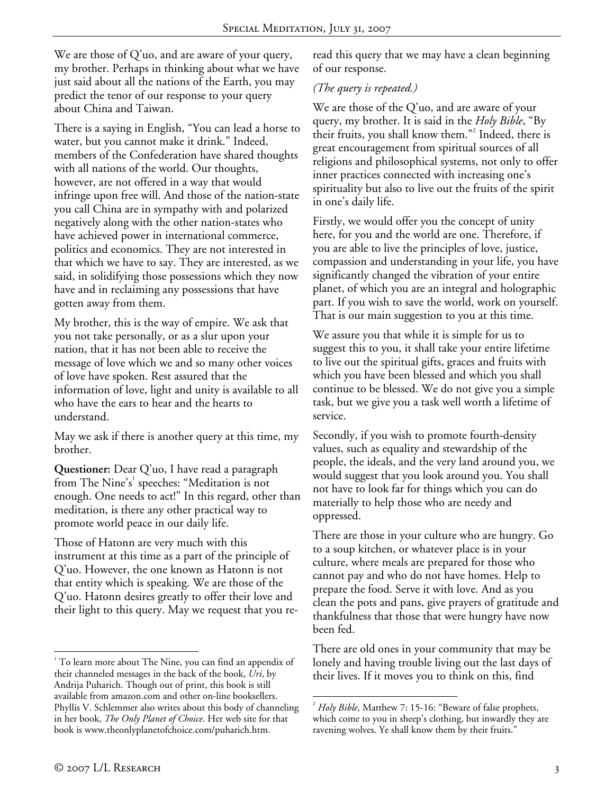We are those of Q'uo, and are aware of your query, my brother. Perhaps in thinking about what we have just said about all the nations of the Earth, you may predict the tenor of our response to your query about China and Taiwan.

There is a saying in English, "You can lead a horse to water, but you cannot make it drink." Indeed, members of the Confederation have shared thoughts with all nations of the world. Our thoughts, however, are not offered in a way that would infringe upon free will. And those of the nation-state you call China are in sympathy with and polarized negatively along with the other nation-states who have achieved power in international commerce, politics and economics. They are not interested in that which we have to say. They are interested, as we said, in solidifying those possessions which they now have and in reclaiming any possessions that have gotten away from them.

My brother, this is the way of empire. We ask that you not take personally, or as a slur upon your nation, that it has not been able to receive the message of love which we and so many other voices of love have spoken. Rest assured that the information of love, light and unity is available to all who have the ears to hear and the hearts to understand.

May we ask if there is another query at this time, my brother.

**Questioner:** Dear Q'uo, I have read a paragraph from The Nine's<sup>1</sup> speeches: "Meditation is not enough. One needs to act!" In this regard, other than meditation, is there any other practical way to promote world peace in our daily life.

Those of Hatonn are very much with this instrument at this time as a part of the principle of Q'uo. However, the one known as Hatonn is not that entity which is speaking. We are those of the Q'uo. Hatonn desires greatly to offer their love and their light to this query. May we request that you reread this query that we may have a clean beginning of our response.

## *(The query is repeated.)*

We are those of the Q'uo, and are aware of your query, my brother. It is said in the *Holy Bible*, "By their fruits, you shall know them."<sup>2</sup> Indeed, there is great encouragement from spiritual sources of all religions and philosophical systems, not only to offer inner practices connected with increasing one's spirituality but also to live out the fruits of the spirit in one's daily life.

Firstly, we would offer you the concept of unity here, for you and the world are one. Therefore, if you are able to live the principles of love, justice, compassion and understanding in your life, you have significantly changed the vibration of your entire planet, of which you are an integral and holographic part. If you wish to save the world, work on yourself. That is our main suggestion to you at this time.

We assure you that while it is simple for us to suggest this to you, it shall take your entire lifetime to live out the spiritual gifts, graces and fruits with which you have been blessed and which you shall continue to be blessed. We do not give you a simple task, but we give you a task well worth a lifetime of service.

Secondly, if you wish to promote fourth-density values, such as equality and stewardship of the people, the ideals, and the very land around you, we would suggest that you look around you. You shall not have to look far for things which you can do materially to help those who are needy and oppressed.

There are those in your culture who are hungry. Go to a soup kitchen, or whatever place is in your culture, where meals are prepared for those who cannot pay and who do not have homes. Help to prepare the food. Serve it with love. And as you clean the pots and pans, give prayers of gratitude and thankfulness that those that were hungry have now been fed.

There are old ones in your community that may be lonely and having trouble living out the last days of their lives. If it moves you to think on this, find

 $\overline{a}$ 

 $1$ <sup>1</sup> To learn more about The Nine, you can find an appendix of their channeled messages in the back of the book, *Uri*, by Andrija Puharich. Though out of print, this book is still available from amazon.com and other on-line booksellers. Phyllis V. Schlemmer also writes about this body of channeling in her book, *The Only Planet of Choice*. Her web site for that book is www.theonlyplanetofchoice.com/puharich.htm.

 $\overline{a}$ 2 *Holy Bible*, Matthew 7: 15-16: "Beware of false prophets, which come to you in sheep's clothing, but inwardly they are ravening wolves. Ye shall know them by their fruits."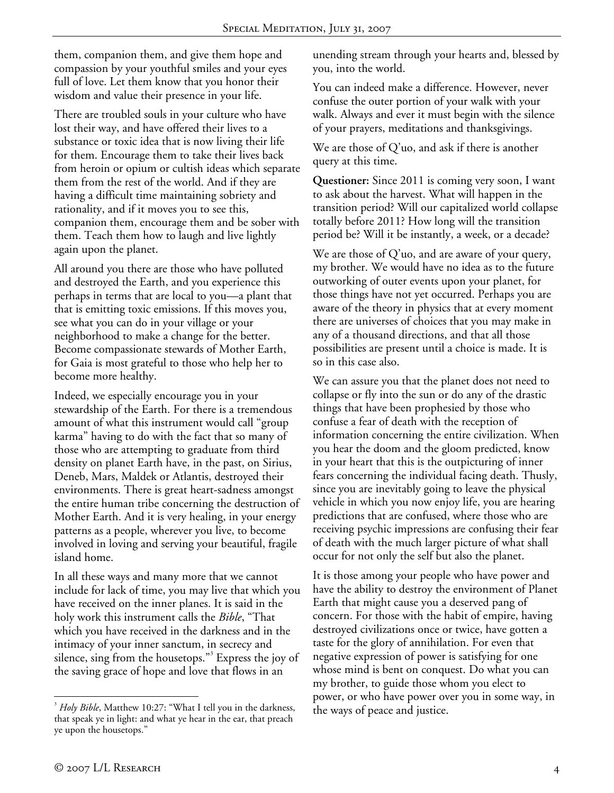them, companion them, and give them hope and compassion by your youthful smiles and your eyes full of love. Let them know that you honor their wisdom and value their presence in your life.

There are troubled souls in your culture who have lost their way, and have offered their lives to a substance or toxic idea that is now living their life for them. Encourage them to take their lives back from heroin or opium or cultish ideas which separate them from the rest of the world. And if they are having a difficult time maintaining sobriety and rationality, and if it moves you to see this, companion them, encourage them and be sober with them. Teach them how to laugh and live lightly again upon the planet.

All around you there are those who have polluted and destroyed the Earth, and you experience this perhaps in terms that are local to you—a plant that that is emitting toxic emissions. If this moves you, see what you can do in your village or your neighborhood to make a change for the better. Become compassionate stewards of Mother Earth, for Gaia is most grateful to those who help her to become more healthy.

Indeed, we especially encourage you in your stewardship of the Earth. For there is a tremendous amount of what this instrument would call "group karma" having to do with the fact that so many of those who are attempting to graduate from third density on planet Earth have, in the past, on Sirius, Deneb, Mars, Maldek or Atlantis, destroyed their environments. There is great heart-sadness amongst the entire human tribe concerning the destruction of Mother Earth. And it is very healing, in your energy patterns as a people, wherever you live, to become involved in loving and serving your beautiful, fragile island home.

In all these ways and many more that we cannot include for lack of time, you may live that which you have received on the inner planes. It is said in the holy work this instrument calls the *Bible*, "That which you have received in the darkness and in the intimacy of your inner sanctum, in secrecy and silence, sing from the housetops."<sup>3</sup> Express the joy of the saving grace of hope and love that flows in an

unending stream through your hearts and, blessed by you, into the world.

You can indeed make a difference. However, never confuse the outer portion of your walk with your walk. Always and ever it must begin with the silence of your prayers, meditations and thanksgivings.

We are those of Q'uo, and ask if there is another query at this time.

**Questioner:** Since 2011 is coming very soon, I want to ask about the harvest. What will happen in the transition period? Will our capitalized world collapse totally before 2011? How long will the transition period be? Will it be instantly, a week, or a decade?

We are those of  $Q'$ uo, and are aware of your query, my brother. We would have no idea as to the future outworking of outer events upon your planet, for those things have not yet occurred. Perhaps you are aware of the theory in physics that at every moment there are universes of choices that you may make in any of a thousand directions, and that all those possibilities are present until a choice is made. It is so in this case also.

We can assure you that the planet does not need to collapse or fly into the sun or do any of the drastic things that have been prophesied by those who confuse a fear of death with the reception of information concerning the entire civilization. When you hear the doom and the gloom predicted, know in your heart that this is the outpicturing of inner fears concerning the individual facing death. Thusly, since you are inevitably going to leave the physical vehicle in which you now enjoy life, you are hearing predictions that are confused, where those who are receiving psychic impressions are confusing their fear of death with the much larger picture of what shall occur for not only the self but also the planet.

It is those among your people who have power and have the ability to destroy the environment of Planet Earth that might cause you a deserved pang of concern. For those with the habit of empire, having destroyed civilizations once or twice, have gotten a taste for the glory of annihilation. For even that negative expression of power is satisfying for one whose mind is bent on conquest. Do what you can my brother, to guide those whom you elect to power, or who have power over you in some way, in the ways of peace and justice.

 $\overline{a}$ 3 *Holy Bible*, Matthew 10:27: "What I tell you in the darkness, that speak ye in light: and what ye hear in the ear, that preach ye upon the housetops."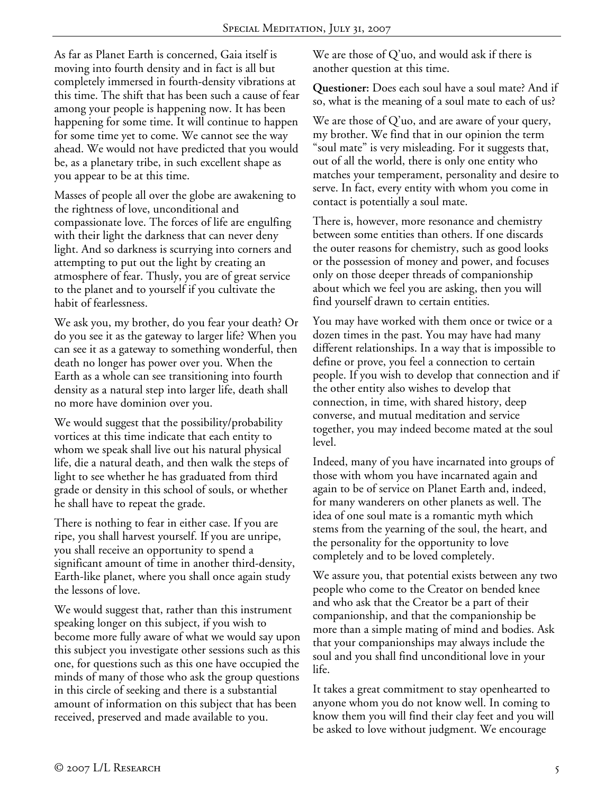As far as Planet Earth is concerned, Gaia itself is moving into fourth density and in fact is all but completely immersed in fourth-density vibrations at this time. The shift that has been such a cause of fear among your people is happening now. It has been happening for some time. It will continue to happen for some time yet to come. We cannot see the way ahead. We would not have predicted that you would be, as a planetary tribe, in such excellent shape as you appear to be at this time.

Masses of people all over the globe are awakening to the rightness of love, unconditional and compassionate love. The forces of life are engulfing with their light the darkness that can never deny light. And so darkness is scurrying into corners and attempting to put out the light by creating an atmosphere of fear. Thusly, you are of great service to the planet and to yourself if you cultivate the habit of fearlessness.

We ask you, my brother, do you fear your death? Or do you see it as the gateway to larger life? When you can see it as a gateway to something wonderful, then death no longer has power over you. When the Earth as a whole can see transitioning into fourth density as a natural step into larger life, death shall no more have dominion over you.

We would suggest that the possibility/probability vortices at this time indicate that each entity to whom we speak shall live out his natural physical life, die a natural death, and then walk the steps of light to see whether he has graduated from third grade or density in this school of souls, or whether he shall have to repeat the grade.

There is nothing to fear in either case. If you are ripe, you shall harvest yourself. If you are unripe, you shall receive an opportunity to spend a significant amount of time in another third-density, Earth-like planet, where you shall once again study the lessons of love.

We would suggest that, rather than this instrument speaking longer on this subject, if you wish to become more fully aware of what we would say upon this subject you investigate other sessions such as this one, for questions such as this one have occupied the minds of many of those who ask the group questions in this circle of seeking and there is a substantial amount of information on this subject that has been received, preserved and made available to you.

We are those of Q'uo, and would ask if there is another question at this time.

**Questioner:** Does each soul have a soul mate? And if so, what is the meaning of a soul mate to each of us?

We are those of  $Q'$ uo, and are aware of your query, my brother. We find that in our opinion the term "soul mate" is very misleading. For it suggests that, out of all the world, there is only one entity who matches your temperament, personality and desire to serve. In fact, every entity with whom you come in contact is potentially a soul mate.

There is, however, more resonance and chemistry between some entities than others. If one discards the outer reasons for chemistry, such as good looks or the possession of money and power, and focuses only on those deeper threads of companionship about which we feel you are asking, then you will find yourself drawn to certain entities.

You may have worked with them once or twice or a dozen times in the past. You may have had many different relationships. In a way that is impossible to define or prove, you feel a connection to certain people. If you wish to develop that connection and if the other entity also wishes to develop that connection, in time, with shared history, deep converse, and mutual meditation and service together, you may indeed become mated at the soul level.

Indeed, many of you have incarnated into groups of those with whom you have incarnated again and again to be of service on Planet Earth and, indeed, for many wanderers on other planets as well. The idea of one soul mate is a romantic myth which stems from the yearning of the soul, the heart, and the personality for the opportunity to love completely and to be loved completely.

We assure you, that potential exists between any two people who come to the Creator on bended knee and who ask that the Creator be a part of their companionship, and that the companionship be more than a simple mating of mind and bodies. Ask that your companionships may always include the soul and you shall find unconditional love in your life.

It takes a great commitment to stay openhearted to anyone whom you do not know well. In coming to know them you will find their clay feet and you will be asked to love without judgment. We encourage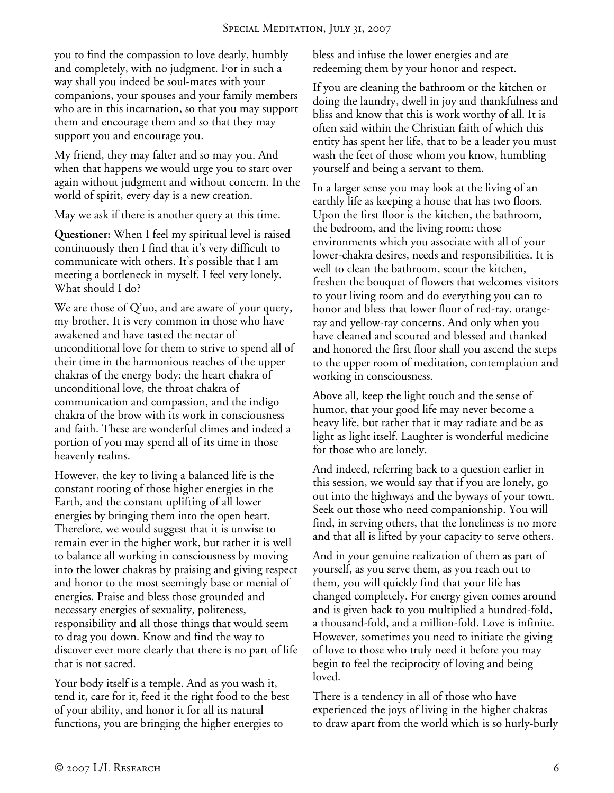you to find the compassion to love dearly, humbly and completely, with no judgment. For in such a way shall you indeed be soul-mates with your companions, your spouses and your family members who are in this incarnation, so that you may support them and encourage them and so that they may support you and encourage you.

My friend, they may falter and so may you. And when that happens we would urge you to start over again without judgment and without concern. In the world of spirit, every day is a new creation.

May we ask if there is another query at this time.

**Questioner:** When I feel my spiritual level is raised continuously then I find that it's very difficult to communicate with others. It's possible that I am meeting a bottleneck in myself. I feel very lonely. What should I do?

We are those of Q'uo, and are aware of your query, my brother. It is very common in those who have awakened and have tasted the nectar of unconditional love for them to strive to spend all of their time in the harmonious reaches of the upper chakras of the energy body: the heart chakra of unconditional love, the throat chakra of communication and compassion, and the indigo chakra of the brow with its work in consciousness and faith. These are wonderful climes and indeed a portion of you may spend all of its time in those heavenly realms.

However, the key to living a balanced life is the constant rooting of those higher energies in the Earth, and the constant uplifting of all lower energies by bringing them into the open heart. Therefore, we would suggest that it is unwise to remain ever in the higher work, but rather it is well to balance all working in consciousness by moving into the lower chakras by praising and giving respect and honor to the most seemingly base or menial of energies. Praise and bless those grounded and necessary energies of sexuality, politeness, responsibility and all those things that would seem to drag you down. Know and find the way to discover ever more clearly that there is no part of life that is not sacred.

Your body itself is a temple. And as you wash it, tend it, care for it, feed it the right food to the best of your ability, and honor it for all its natural functions, you are bringing the higher energies to

bless and infuse the lower energies and are redeeming them by your honor and respect.

If you are cleaning the bathroom or the kitchen or doing the laundry, dwell in joy and thankfulness and bliss and know that this is work worthy of all. It is often said within the Christian faith of which this entity has spent her life, that to be a leader you must wash the feet of those whom you know, humbling yourself and being a servant to them.

In a larger sense you may look at the living of an earthly life as keeping a house that has two floors. Upon the first floor is the kitchen, the bathroom, the bedroom, and the living room: those environments which you associate with all of your lower-chakra desires, needs and responsibilities. It is well to clean the bathroom, scour the kitchen, freshen the bouquet of flowers that welcomes visitors to your living room and do everything you can to honor and bless that lower floor of red-ray, orangeray and yellow-ray concerns. And only when you have cleaned and scoured and blessed and thanked and honored the first floor shall you ascend the steps to the upper room of meditation, contemplation and working in consciousness.

Above all, keep the light touch and the sense of humor, that your good life may never become a heavy life, but rather that it may radiate and be as light as light itself. Laughter is wonderful medicine for those who are lonely.

And indeed, referring back to a question earlier in this session, we would say that if you are lonely, go out into the highways and the byways of your town. Seek out those who need companionship. You will find, in serving others, that the loneliness is no more and that all is lifted by your capacity to serve others.

And in your genuine realization of them as part of yourself, as you serve them, as you reach out to them, you will quickly find that your life has changed completely. For energy given comes around and is given back to you multiplied a hundred-fold, a thousand-fold, and a million-fold. Love is infinite. However, sometimes you need to initiate the giving of love to those who truly need it before you may begin to feel the reciprocity of loving and being loved.

There is a tendency in all of those who have experienced the joys of living in the higher chakras to draw apart from the world which is so hurly-burly